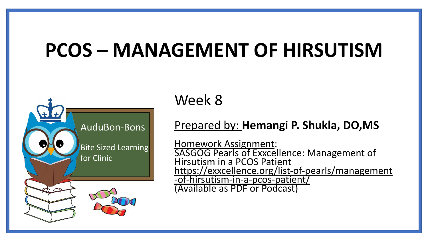# **PCOS – MANAGEMENT OF HIRSUTISM**



Week 8

#### Prepared by: **Hemangi P. Shukla, DO,MS**

Homework Assignment: SASGOG Pearls of Exxcellence: Management of Hirsutism in a PCOS Patient [https://exxcellence.org/list-of-pearls/management](https://exxcellence.org/list-of-pearls/management-of-hirsutism-in-a-pcos-patient/) [-of-hirsutism-in-a-pcos-patient/](https://exxcellence.org/list-of-pearls/management-of-hirsutism-in-a-pcos-patient/) (Available as PDF or Podcast)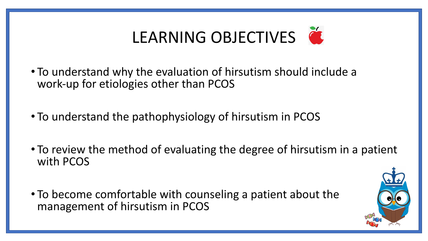

- To understand why the evaluation of hirsutism should include a work-up for etiologies other than PCOS
- To understand the pathophysiology of hirsutism in PCOS
- To review the method of evaluating the degree of hirsutism in a patient with PCOS
- To become comfortable with counseling a patient about the management of hirsutism in PCOS

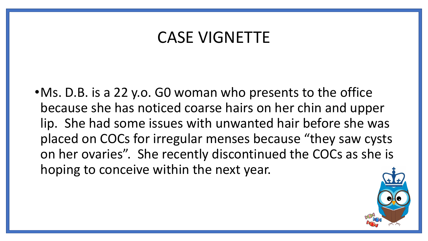## CASE VIGNETTE

•Ms. D.B. is a 22 y.o. G0 woman who presents to the office because she has noticed coarse hairs on her chin and upper lip. She had some issues with unwanted hair before she was placed on COCs for irregular menses because "they saw cysts on her ovaries". She recently discontinued the COCs as she is hoping to conceive within the next year.

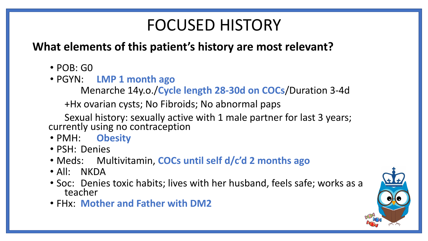# FOCUSED HISTORY

### **What elements of this patient's history are most relevant?**

- $\cdot$  POB: GO
- PGYN: **LMP 1 month ago**

Menarche 14y.o./**Cycle length 28-30d on COCs**/Duration 3-4d

+Hx ovarian cysts; No Fibroids; No abnormal paps

Sexual history: sexually active with 1 male partner for last 3 years; currently using no contraception

- PMH: **Obesity**
- PSH: Denies
- Meds: Multivitamin, **COCs until self d/c'd 2 months ago**
- All: NKDA
- Soc: Denies toxic habits; lives with her husband, feels safe; works as a teacher
- FHx: **Mother and Father with DM2**

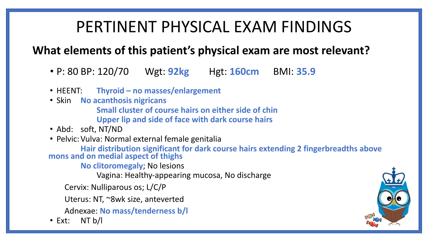# PERTINENT PHYSICAL EXAM FINDINGS

### **What elements of this patient's physical exam are most relevant?**

- P: 80 BP: 120/70 Wgt: **92kg** Hgt: **160cm** BMI: **35.9**
- HEENT: **Thyroid no masses/enlargement**
- Skin **No acanthosis nigricans**

**Small cluster of course hairs on either side of chin**

- **Upper lip and side of face with dark course hairs**
- Abd: soft, NT/ND
- Pelvic:Vulva: Normal external female genitalia

**Hair distribution significant for dark course hairs extending 2 fingerbreadths above mons and on medial aspect of thighs**

**No clitoromegaly**; No lesions

Vagina: Healthy-appearing mucosa, No discharge

Cervix: Nulliparous os; L/C/P

Uterus: NT, ~8wk size, anteverted

Adnexae: **No mass/tenderness b/l**

• Ext: NT b/l

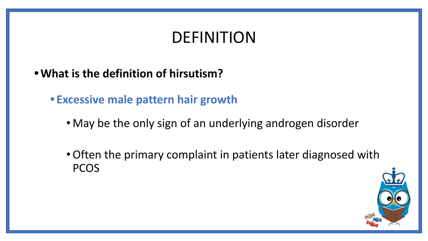# DEFINITION

- **•What is the definition of hirsutism?**
	- **• Excessive male pattern hair growth**
		- May be the only sign of an underlying androgen disorder
		- •Often the primary complaint in patients later diagnosed with PCOS

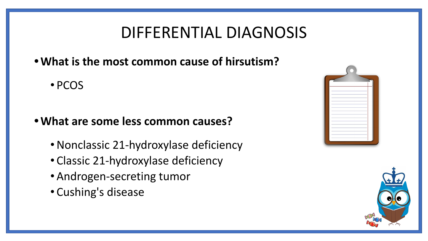# DIFFERENTIAL DIAGNOSIS

- **•What is the most common cause of hirsutism?**
	- PCOS

#### **•What are some less common causes?**

- •Nonclassic 21-hydroxylase deficiency
- Classic 21-hydroxylase deficiency
- •Androgen-secreting tumor
- Cushing's disease

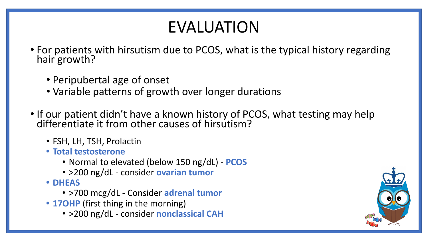# EVALUATION

- For patients with hirsutism due to PCOS, what is the typical history regarding hair growth?
	- Peripubertal age of onset
	- Variable patterns of growth over longer durations
- If our patient didn't have a known history of PCOS, what testing may help differentiate it from other causes of hirsutism?
	- FSH, LH, TSH, Prolactin
	- **• Total testosterone**
		- Normal to elevated (below 150 ng/dL) **PCOS**
		- >200 ng/dL consider **ovarian tumor**
	- **• DHEAS**
		- >700 mcg/dL Consider **adrenal tumor**
	- **• 17OHP** (first thing in the morning)
		- >200 ng/dL consider **nonclassical CAH**

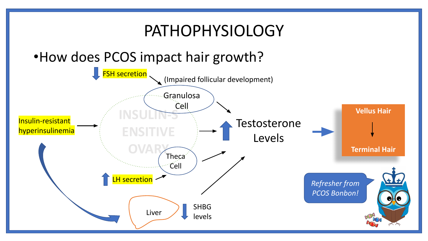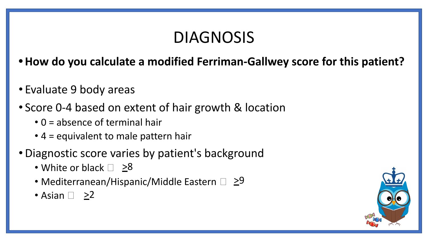# DIAGNOSIS

- **•How do you calculate a modified Ferriman-Gallwey score for this patient?**
- Evaluate 9 body areas
- Score 0-4 based on extent of hair growth & location
	- 0 = absence of terminal hair
	- 4 = equivalent to male pattern hair
- •Diagnostic score varies by patient's background
	- White or black  $\Box$   $\geq 8$
	- Mediterranean/Hispanic/Middle Eastern  $\Box \geq 9$
	- Asian  $\Box$   $\geq$ 2

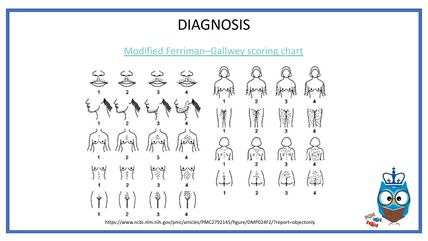### DIAGNOSIS

#### [Modified Ferriman–Gallwey scoring chart](https://www.ncbi.nlm.nih.gov/pmc/articles/PMC2792145/figure/DMP024F2/?report=objectonly)



https://www.ncbi.nlm.nih.gov/pmc/articles/PMC2792145/figure/DMP024F2/?report=objectonly

Dans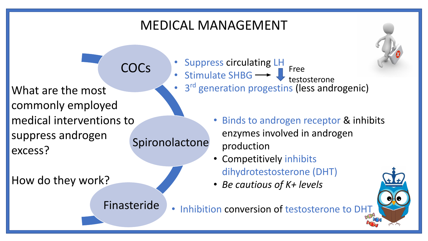### MEDICAL MANAGEMENT

commonly employed medical interventions to suppress androgen excess? COCs Spironolactone

How do they work?

• Suppress circulating LH

- Stimulate SHBG Free
- What are the most  $\cdot$  3<sup>rd</sup> generation progestins (less androgenic) testosterone
	- Binds to androgen receptor & inhibits enzymes involved in androgen production
	- Competitively inhibits dihydrotestosterone (DHT)
	- *• Be cautious of K+ levels*



Finasteride

• Inhibition conversion of testosterone to DHT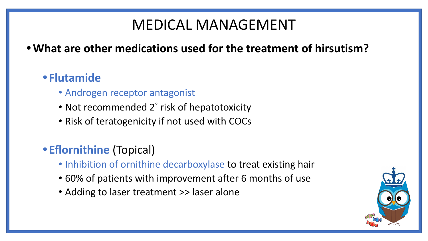### MEDICAL MANAGEMENT

### **•What are other medications used for the treatment of hirsutism?**

### **• Flutamide**

- Androgen receptor antagonist
- Not recommended 2° risk of hepatotoxicity
- Risk of teratogenicity if not used with COCs

### **• Eflornithine** (Topical)

- Inhibition of ornithine decarboxylase to treat existing hair
- 60% of patients with improvement after 6 months of use
- Adding to laser treatment >> laser alone

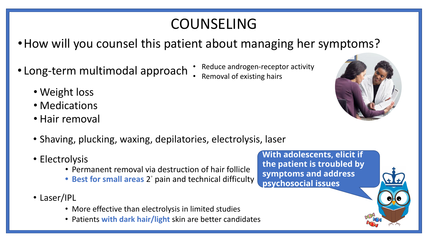### COUNSELING

- How will you counsel this patient about managing her symptoms?
- Long-term multimodal approach
- Reduce androgen-receptor activity • Removal of existing hairs

- Weight loss
- Medications
- Hair removal
- Shaving, plucking, waxing, depilatories, electrolysis, laser
- Electrolysis
	- Permanent removal via destruction of hair follicle
	- Best for small areas 2° pain and technical difficulty
- Laser/IPL
	- More effective than electrolysis in limited studies
	- Patients **with dark hair/light** skin are better candidates

**With adolescents, elicit if the patient is troubled by symptoms and address psychosocial issues**

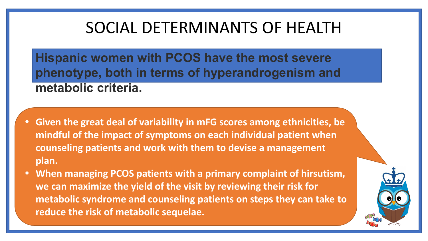# SOCIAL DETERMINANTS OF HEALTH

**Hispanic women with PCOS have the most severe phenotype, both in terms of hyperandrogenism and metabolic criteria.**

- **• Given the great deal of variability in mFG scores among ethnicities, be mindful of the impact of symptoms on each individual patient when counseling patients and work with them to devise a management plan.**
- **• When managing PCOS patients with a primary complaint of hirsutism, we can maximize the yield of the visit by reviewing their risk for metabolic syndrome and counseling patients on steps they can take to reduce the risk of metabolic sequelae.**

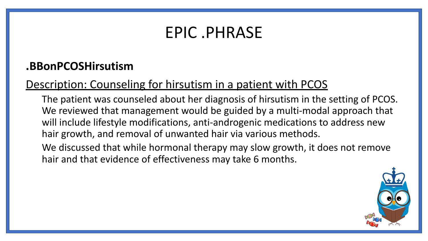## EPIC .PHRASE

### **.BBonPCOSHirsutism**

### Description: Counseling for hirsutism in a patient with PCOS

The patient was counseled about her diagnosis of hirsutism in the setting of PCOS. We reviewed that management would be guided by a multi-modal approach that will include lifestyle modifications, anti-androgenic medications to address new hair growth, and removal of unwanted hair via various methods.

We discussed that while hormonal therapy may slow growth, it does not remove hair and that evidence of effectiveness may take 6 months.

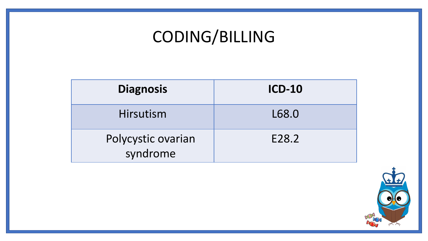# CODING/BILLING

| <b>Diagnosis</b>               | <b>ICD-10</b> |
|--------------------------------|---------------|
| Hirsutism                      | L68.0         |
| Polycystic ovarian<br>syndrome | E28.2         |